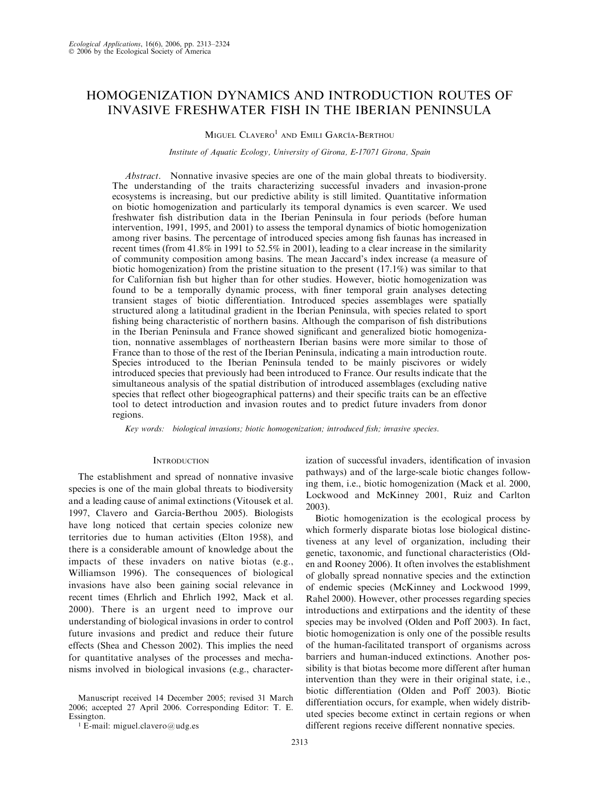# HOMOGENIZATION DYNAMICS AND INTRODUCTION ROUTES OF INVASIVE FRESHWATER FISH IN THE IBERIAN PENINSULA

# $M$ iguel  $C$ lavero $^1$  and Emili García-Berthou

#### Institute of Aquatic Ecology, University of Girona, E-17071 Girona, Spain

Abstract. Nonnative invasive species are one of the main global threats to biodiversity. The understanding of the traits characterizing successful invaders and invasion-prone ecosystems is increasing, but our predictive ability is still limited. Quantitative information on biotic homogenization and particularly its temporal dynamics is even scarcer. We used freshwater fish distribution data in the Iberian Peninsula in four periods (before human intervention, 1991, 1995, and 2001) to assess the temporal dynamics of biotic homogenization among river basins. The percentage of introduced species among fish faunas has increased in recent times (from 41.8% in 1991 to 52.5% in 2001), leading to a clear increase in the similarity of community composition among basins. The mean Jaccard's index increase (a measure of biotic homogenization) from the pristine situation to the present (17.1%) was similar to that for Californian fish but higher than for other studies. However, biotic homogenization was found to be a temporally dynamic process, with finer temporal grain analyses detecting transient stages of biotic differentiation. Introduced species assemblages were spatially structured along a latitudinal gradient in the Iberian Peninsula, with species related to sport fishing being characteristic of northern basins. Although the comparison of fish distributions in the Iberian Peninsula and France showed significant and generalized biotic homogenization, nonnative assemblages of northeastern Iberian basins were more similar to those of France than to those of the rest of the Iberian Peninsula, indicating a main introduction route. Species introduced to the Iberian Peninsula tended to be mainly piscivores or widely introduced species that previously had been introduced to France. Our results indicate that the simultaneous analysis of the spatial distribution of introduced assemblages (excluding native species that reflect other biogeographical patterns) and their specific traits can be an effective tool to detect introduction and invasion routes and to predict future invaders from donor regions.

Key words: biological invasions; biotic homogenization; introduced fish; invasive species.

# **INTRODUCTION**

The establishment and spread of nonnative invasive species is one of the main global threats to biodiversity and a leading cause of animal extinctions (Vitousek et al. 1997, Clavero and García-Berthou 2005). Biologists have long noticed that certain species colonize new territories due to human activities (Elton 1958), and there is a considerable amount of knowledge about the impacts of these invaders on native biotas (e.g., Williamson 1996). The consequences of biological invasions have also been gaining social relevance in recent times (Ehrlich and Ehrlich 1992, Mack et al. 2000). There is an urgent need to improve our understanding of biological invasions in order to control future invasions and predict and reduce their future effects (Shea and Chesson 2002). This implies the need for quantitative analyses of the processes and mechanisms involved in biological invasions (e.g., characterization of successful invaders, identification of invasion pathways) and of the large-scale biotic changes following them, i.e., biotic homogenization (Mack et al. 2000, Lockwood and McKinney 2001, Ruiz and Carlton 2003).

Biotic homogenization is the ecological process by which formerly disparate biotas lose biological distinctiveness at any level of organization, including their genetic, taxonomic, and functional characteristics (Olden and Rooney 2006). It often involves the establishment of globally spread nonnative species and the extinction of endemic species (McKinney and Lockwood 1999, Rahel 2000). However, other processes regarding species introductions and extirpations and the identity of these species may be involved (Olden and Poff 2003). In fact, biotic homogenization is only one of the possible results of the human-facilitated transport of organisms across barriers and human-induced extinctions. Another possibility is that biotas become more different after human intervention than they were in their original state, i.e., biotic differentiation (Olden and Poff 2003). Biotic differentiation occurs, for example, when widely distributed species become extinct in certain regions or when different regions receive different nonnative species.

Manuscript received 14 December 2005; revised 31 March 2006; accepted 27 April 2006. Corresponding Editor: T. E. Essington.

<sup>1</sup> E-mail: miguel.clavero@udg.es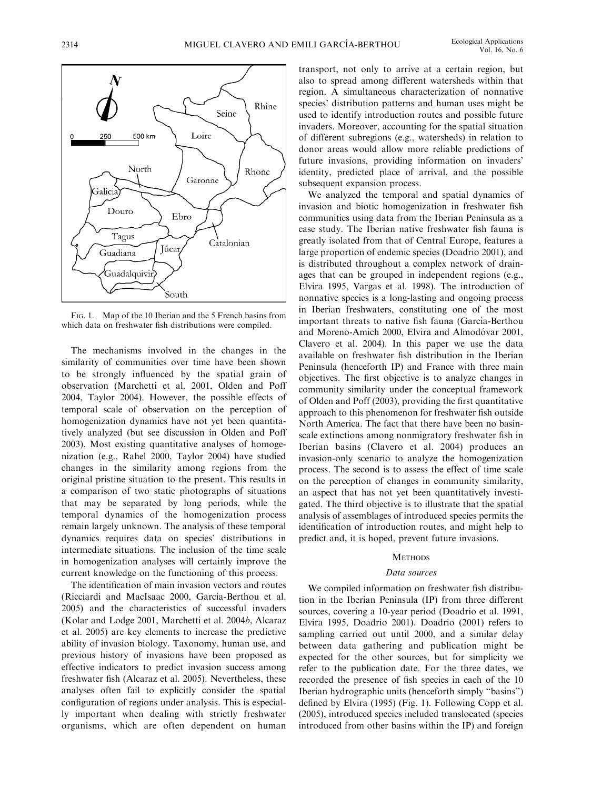

FIG. 1. Map of the 10 Iberian and the 5 French basins from which data on freshwater fish distributions were compiled.

The mechanisms involved in the changes in the similarity of communities over time have been shown to be strongly influenced by the spatial grain of observation (Marchetti et al. 2001, Olden and Poff 2004, Taylor 2004). However, the possible effects of temporal scale of observation on the perception of homogenization dynamics have not yet been quantitatively analyzed (but see discussion in Olden and Poff 2003). Most existing quantitative analyses of homogenization (e.g., Rahel 2000, Taylor 2004) have studied changes in the similarity among regions from the original pristine situation to the present. This results in a comparison of two static photographs of situations that may be separated by long periods, while the temporal dynamics of the homogenization process remain largely unknown. The analysis of these temporal dynamics requires data on species' distributions in intermediate situations. The inclusion of the time scale in homogenization analyses will certainly improve the current knowledge on the functioning of this process.

The identification of main invasion vectors and routes (Ricciardi and MacIsaac 2000, García-Berthou et al. 2005) and the characteristics of successful invaders (Kolar and Lodge 2001, Marchetti et al. 2004b, Alcaraz et al. 2005) are key elements to increase the predictive ability of invasion biology. Taxonomy, human use, and previous history of invasions have been proposed as effective indicators to predict invasion success among freshwater fish (Alcaraz et al. 2005). Nevertheless, these analyses often fail to explicitly consider the spatial configuration of regions under analysis. This is especially important when dealing with strictly freshwater organisms, which are often dependent on human transport, not only to arrive at a certain region, but also to spread among different watersheds within that region. A simultaneous characterization of nonnative species' distribution patterns and human uses might be used to identify introduction routes and possible future invaders. Moreover, accounting for the spatial situation of different subregions (e.g., watersheds) in relation to donor areas would allow more reliable predictions of future invasions, providing information on invaders' identity, predicted place of arrival, and the possible subsequent expansion process.

We analyzed the temporal and spatial dynamics of invasion and biotic homogenization in freshwater fish communities using data from the Iberian Peninsula as a case study. The Iberian native freshwater fish fauna is greatly isolated from that of Central Europe, features a large proportion of endemic species (Doadrio 2001), and is distributed throughout a complex network of drainages that can be grouped in independent regions (e.g., Elvira 1995, Vargas et al. 1998). The introduction of nonnative species is a long-lasting and ongoing process in Iberian freshwaters, constituting one of the most important threats to native fish fauna (García-Berthou and Moreno-Amich 2000, Elvira and Almodóvar 2001, Clavero et al. 2004). In this paper we use the data available on freshwater fish distribution in the Iberian Peninsula (henceforth IP) and France with three main objectives. The first objective is to analyze changes in community similarity under the conceptual framework of Olden and Poff (2003), providing the first quantitative approach to this phenomenon for freshwater fish outside North America. The fact that there have been no basinscale extinctions among nonmigratory freshwater fish in Iberian basins (Clavero et al. 2004) produces an invasion-only scenario to analyze the homogenization process. The second is to assess the effect of time scale on the perception of changes in community similarity, an aspect that has not yet been quantitatively investigated. The third objective is to illustrate that the spatial analysis of assemblages of introduced species permits the identification of introduction routes, and might help to predict and, it is hoped, prevent future invasions.

## **METHODS**

#### Data sources

We compiled information on freshwater fish distribution in the Iberian Peninsula (IP) from three different sources, covering a 10-year period (Doadrio et al. 1991, Elvira 1995, Doadrio 2001). Doadrio (2001) refers to sampling carried out until 2000, and a similar delay between data gathering and publication might be expected for the other sources, but for simplicity we refer to the publication date. For the three dates, we recorded the presence of fish species in each of the 10 Iberian hydrographic units (henceforth simply ''basins'') defined by Elvira (1995) (Fig. 1). Following Copp et al. (2005), introduced species included translocated (species introduced from other basins within the IP) and foreign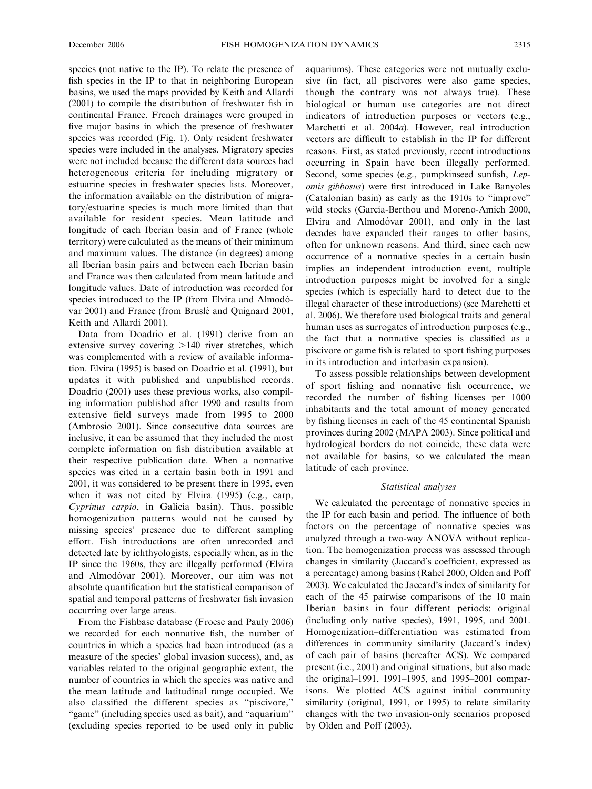species (not native to the IP). To relate the presence of fish species in the IP to that in neighboring European basins, we used the maps provided by Keith and Allardi (2001) to compile the distribution of freshwater fish in continental France. French drainages were grouped in five major basins in which the presence of freshwater species was recorded (Fig. 1). Only resident freshwater species were included in the analyses. Migratory species were not included because the different data sources had heterogeneous criteria for including migratory or estuarine species in freshwater species lists. Moreover, the information available on the distribution of migratory/estuarine species is much more limited than that available for resident species. Mean latitude and longitude of each Iberian basin and of France (whole territory) were calculated as the means of their minimum and maximum values. The distance (in degrees) among all Iberian basin pairs and between each Iberian basin and France was then calculated from mean latitude and longitude values. Date of introduction was recorded for species introduced to the IP (from Elvira and Almodóvar 2001) and France (from Bruslé and Quignard 2001, Keith and Allardi 2001).

Data from Doadrio et al. (1991) derive from an extensive survey covering  $>140$  river stretches, which was complemented with a review of available information. Elvira (1995) is based on Doadrio et al. (1991), but updates it with published and unpublished records. Doadrio (2001) uses these previous works, also compiling information published after 1990 and results from extensive field surveys made from 1995 to 2000 (Ambrosio 2001). Since consecutive data sources are inclusive, it can be assumed that they included the most complete information on fish distribution available at their respective publication date. When a nonnative species was cited in a certain basin both in 1991 and 2001, it was considered to be present there in 1995, even when it was not cited by Elvira (1995) (e.g., carp, Cyprinus carpio, in Galicia basin). Thus, possible homogenization patterns would not be caused by missing species' presence due to different sampling effort. Fish introductions are often unrecorded and detected late by ichthyologists, especially when, as in the IP since the 1960s, they are illegally performed (Elvira and Almodóvar 2001). Moreover, our aim was not absolute quantification but the statistical comparison of spatial and temporal patterns of freshwater fish invasion occurring over large areas.

From the Fishbase database (Froese and Pauly 2006) we recorded for each nonnative fish, the number of countries in which a species had been introduced (as a measure of the species' global invasion success), and, as variables related to the original geographic extent, the number of countries in which the species was native and the mean latitude and latitudinal range occupied. We also classified the different species as ''piscivore,'' "game" (including species used as bait), and "aquarium" (excluding species reported to be used only in public aquariums). These categories were not mutually exclusive (in fact, all piscivores were also game species, though the contrary was not always true). These biological or human use categories are not direct indicators of introduction purposes or vectors (e.g., Marchetti et al. 2004a). However, real introduction vectors are difficult to establish in the IP for different reasons. First, as stated previously, recent introductions occurring in Spain have been illegally performed. Second, some species (e.g., pumpkinseed sunfish, Lepomis gibbosus) were first introduced in Lake Banyoles (Catalonian basin) as early as the 1910s to ''improve'' wild stocks (García-Berthou and Moreno-Amich 2000, Elvira and Almodóvar 2001), and only in the last decades have expanded their ranges to other basins, often for unknown reasons. And third, since each new occurrence of a nonnative species in a certain basin implies an independent introduction event, multiple introduction purposes might be involved for a single species (which is especially hard to detect due to the illegal character of these introductions) (see Marchetti et al. 2006). We therefore used biological traits and general human uses as surrogates of introduction purposes (e.g., the fact that a nonnative species is classified as a piscivore or game fish is related to sport fishing purposes in its introduction and interbasin expansion).

To assess possible relationships between development of sport fishing and nonnative fish occurrence, we recorded the number of fishing licenses per 1000 inhabitants and the total amount of money generated by fishing licenses in each of the 45 continental Spanish provinces during 2002 (MAPA 2003). Since political and hydrological borders do not coincide, these data were not available for basins, so we calculated the mean latitude of each province.

#### Statistical analyses

We calculated the percentage of nonnative species in the IP for each basin and period. The influence of both factors on the percentage of nonnative species was analyzed through a two-way ANOVA without replication. The homogenization process was assessed through changes in similarity (Jaccard's coefficient, expressed as a percentage) among basins (Rahel 2000, Olden and Poff 2003). We calculated the Jaccard's index of similarity for each of the 45 pairwise comparisons of the 10 main Iberian basins in four different periods: original (including only native species), 1991, 1995, and 2001. Homogenization–differentiation was estimated from differences in community similarity (Jaccard's index) of each pair of basins (hereafter  $\Delta CS$ ). We compared present (i.e., 2001) and original situations, but also made the original–1991, 1991–1995, and 1995–2001 comparisons. We plotted  $\Delta CS$  against initial community similarity (original, 1991, or 1995) to relate similarity changes with the two invasion-only scenarios proposed by Olden and Poff (2003).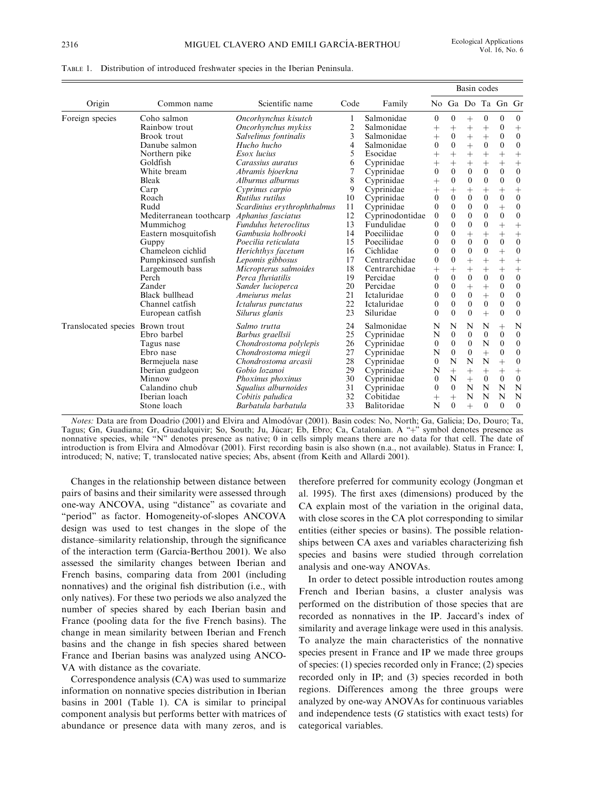|                                  |                         |                              |                |                 | Basin codes      |                  |                  |                  |                   |                  |
|----------------------------------|-------------------------|------------------------------|----------------|-----------------|------------------|------------------|------------------|------------------|-------------------|------------------|
| Origin                           | Common name             | Scientific name              | Code           | Family          |                  |                  |                  |                  | No Ga Do Ta Gn Gr |                  |
| Foreign species                  | Coho salmon             | Oncorhynchus kisutch         | 1              | Salmonidae      | $\mathbf{0}$     | $\mathbf{0}$     | $+$              | $\mathbf{0}$     | $\mathbf{0}$      | $\overline{0}$   |
|                                  | Rainbow trout           | Oncorhynchus mykiss          | $\overline{c}$ | Salmonidae      | $^{+}$           | $^{+}$           | $^{+}$           | $+$              | $\mathbf{0}$      | $^{+}$           |
|                                  | Brook trout             | Salvelinus fontinalis        | 3              | Salmonidae      | $+$              | $\boldsymbol{0}$ | $^{+}$           | $+$              | $\mathbf{0}$      | $\theta$         |
|                                  | Danube salmon           | Hucho hucho                  | 4              | Salmonidae      | $\mathbf{0}$     | $\overline{0}$   | $\ddot{}$        | $\mathbf{0}$     | $\mathbf{0}$      | $\boldsymbol{0}$ |
|                                  | Northern pike           | Esox lucius                  | 5              | Esocidae        | $+$              | $\ddot{}$        | $\ddot{}$        | $\ddot{}$        | $\ddot{}$         | $+$              |
|                                  | Goldfish                | Carassius auratus            | 6              | Cyprinidae      | $^{+}$           | $^{+}$           | $^{+}$           | $^{+}$           | $^{+}$            | $^{+}$           |
|                                  | White bream             | Abramis bjoerkna             | 7              | Cyprinidae      | $\mathbf{0}$     | $\overline{0}$   | $\mathbf{0}$     | $\boldsymbol{0}$ | $\mathbf{0}$      | $\boldsymbol{0}$ |
|                                  | Bleak                   | Alburnus alburnus            | 8              | Cyprinidae      | $^{+}$           | $\mathbf{0}$     | $\boldsymbol{0}$ | $\overline{0}$   | $\mathbf{0}$      | $\boldsymbol{0}$ |
|                                  | Carp                    | Cyprinus carpio              | 9              | Cyprinidae      | $^{+}$           | $^{+}$           | $^{+}$           | $^{+}$           | $^{+}$            | $^{+}$           |
|                                  | Roach                   | Rutilus rutilus              | 10             | Cyprinidae      | $\mathbf{0}$     | $\theta$         | $\theta$         | $\overline{0}$   | $\mathbf{0}$      | $\boldsymbol{0}$ |
|                                  | Rudd                    | Scardinius erythrophthalmus  | 11             | Cyprinidae      | $\mathbf{0}$     | $\overline{0}$   | $\mathbf{0}$     | $\boldsymbol{0}$ | $^{+}$            | $\boldsymbol{0}$ |
|                                  | Mediterranean toothcarp | Aphanius fasciatus           | 12             | Cyprinodontidae | $\boldsymbol{0}$ | $\mathbf{0}$     | $\mathbf{0}$     | $\boldsymbol{0}$ | $\boldsymbol{0}$  | $\boldsymbol{0}$ |
|                                  | Mummichog               | <b>Fundulus</b> heteroclitus | 13             | Fundulidae      | $\mathbf{0}$     | $\theta$         | $\mathbf{0}$     | $\boldsymbol{0}$ | $\ddot{}$         | $^{+}$           |
|                                  | Eastern mosquitofish    | Gambusia holbrooki           | 14             | Poeciliidae     | $\mathbf{0}$     | $\mathbf{0}$     | $^{+}$           | $^{+}$           | $^{+}$            | $^{+}$           |
|                                  | Guppy                   | Poecilia reticulata          | 15             | Poeciliidae     | $\mathbf{0}$     | $\theta$         | $\mathbf{0}$     | $\overline{0}$   | $\mathbf{0}$      | $\boldsymbol{0}$ |
|                                  | Chameleon cichlid       | Herichthys facetum           | 16             | Cichlidae       | $\mathbf{0}$     | $\mathbf{0}$     | $\mathbf{0}$     | $\boldsymbol{0}$ | $\ddot{}$         | $\boldsymbol{0}$ |
|                                  | Pumpkinseed sunfish     | Lepomis gibbosus             | 17             | Centrarchidae   | $\mathbf{0}$     | $\mathbf{0}$     | $\ddot{}$        | $\ddot{}$        | $+$               | $^{+}$           |
|                                  | Largemouth bass         | Micropterus salmoides        | 18             | Centrarchidae   | $^{+}$           | $^{+}$           | $^{+}$           | $^{+}$           | $+$               | $^{+}$           |
|                                  | Perch                   | Perca fluviatilis            | 19             | Percidae        | $\mathbf{0}$     | $\overline{0}$   | $\mathbf{0}$     | $\mathbf{0}$     | $\mathbf{0}$      | $\overline{0}$   |
|                                  | Zander                  | Sander lucioperca            | 20             | Percidae        | $\mathbf{0}$     | $\overline{0}$   | $\ddot{}$        | $\ddot{}$        | $\mathbf{0}$      | $\boldsymbol{0}$ |
|                                  | <b>Black bullhead</b>   | Ameiurus melas               | 21             | Ictaluridae     | 0                | $\overline{0}$   | $\boldsymbol{0}$ | $\overline{+}$   | $\mathbf{0}$      | $\boldsymbol{0}$ |
|                                  | Channel catfish         | Ictalurus punctatus          | 22             | Ictaluridae     | $\mathbf{0}$     | $\overline{0}$   | $\mathbf{0}$     | $\mathbf{0}$     | $\mathbf{0}$      | $\mathbf{0}$     |
|                                  | European catfish        | Silurus glanis               | 23             | Siluridae       | $\theta$         | $\theta$         | $\theta$         | $\ddot{}$        | $\theta$          | $\mathbf{0}$     |
| Translocated species Brown trout |                         | Salmo trutta                 | 24             | Salmonidae      | N                | N                | N                | N                | $^{+}$            | N                |
|                                  | Ebro barbel             | Barbus graellsii             | 25             | Cyprinidae      | N                | $\mathbf{0}$     | $\mathbf{0}$     | $\mathbf{0}$     | $\mathbf{0}$      | $\boldsymbol{0}$ |
|                                  | Tagus nase              | Chondrostoma polylepis       | 26             | Cyprinidae      | $\boldsymbol{0}$ | $\mathbf{0}$     | $\mathbf{0}$     | N                | $\mathbf{0}$      | $\boldsymbol{0}$ |
|                                  | Ebro nase               | Chondrostoma miegii          | 27             | Cyprinidae      | N                | $\overline{0}$   | $\mathbf{0}$     | $\ddot{}$        | $\mathbf{0}$      | $\boldsymbol{0}$ |
|                                  | Bermejuela nase         | Chondrostoma arcasii         | 28             | Cyprinidae      | $\boldsymbol{0}$ | N                | N                | N                | $+$               | $\boldsymbol{0}$ |
|                                  | Iberian gudgeon         | Gobio lozanoi                | 29             | Cyprinidae      | N                | $+$              | $^{+}$           | $^{+}$           | $^{+}$            | $^{+}$           |
|                                  | Minnow                  | Phoxinus phoxinus            | 30             | Cyprinidae      | $\mathbf{0}$     | N                | $+$              | $\mathbf{0}$     | $\mathbf{0}$      | $\mathbf{0}$     |
|                                  | Calandino chub          | Squalius alburnoides         | 31             | Cyprinidae      | $\mathbf{0}$     | $\Omega$         | N                | N                | N                 | N                |
|                                  | Iberian loach           | Cobitis paludica             | 32             | Cobitidae       | $^+$             | $^{+}$           | N                | N                | N                 | N                |
|                                  | Stone loach             | Barbatula barbatula          | 33             | Balitoridae     | N                | $\theta$         | $\ddot{}$        | $\theta$         | $\theta$          | $\theta$         |
|                                  |                         |                              |                |                 |                  |                  |                  |                  |                   |                  |

TABLE 1. Distribution of introduced freshwater species in the Iberian Peninsula.

Notes: Data are from Doadrio (2001) and Elvira and Almodóvar (2001). Basin codes: No, North; Ga, Galicia; Do, Douro; Ta, Tagus; Gn, Guadiana; Gr, Guadalquivir; So, South; Ju, Júcar; Eb, Ebro; Ca, Catalonian. A "+" symbol denotes presence as nonnative species, while "N" denotes presence as native; 0 in cells simply means there are no data for that cell. The date of introduction is from Elvira and Almodóvar (2001). First recording basin is also shown (n.a., not available). Status in France: I, introduced; N, native; T, translocated native species; Abs, absent (from Keith and Allardi 2001).

Changes in the relationship between distance between pairs of basins and their similarity were assessed through one-way ANCOVA, using ''distance'' as covariate and "period" as factor. Homogeneity-of-slopes ANCOVA design was used to test changes in the slope of the distance–similarity relationship, through the significance of the interaction term (García-Berthou 2001). We also assessed the similarity changes between Iberian and French basins, comparing data from 2001 (including nonnatives) and the original fish distribution (i.e., with only natives). For these two periods we also analyzed the number of species shared by each Iberian basin and France (pooling data for the five French basins). The change in mean similarity between Iberian and French basins and the change in fish species shared between France and Iberian basins was analyzed using ANCO-VA with distance as the covariate.

Correspondence analysis (CA) was used to summarize information on nonnative species distribution in Iberian basins in 2001 (Table 1). CA is similar to principal component analysis but performs better with matrices of abundance or presence data with many zeros, and is therefore preferred for community ecology (Jongman et al. 1995). The first axes (dimensions) produced by the CA explain most of the variation in the original data, with close scores in the CA plot corresponding to similar entities (either species or basins). The possible relationships between CA axes and variables characterizing fish species and basins were studied through correlation analysis and one-way ANOVAs.

In order to detect possible introduction routes among French and Iberian basins, a cluster analysis was performed on the distribution of those species that are recorded as nonnatives in the IP. Jaccard's index of similarity and average linkage were used in this analysis. To analyze the main characteristics of the nonnative species present in France and IP we made three groups of species: (1) species recorded only in France; (2) species recorded only in IP; and (3) species recorded in both regions. Differences among the three groups were analyzed by one-way ANOVAs for continuous variables and independence tests (G statistics with exact tests) for categorical variables.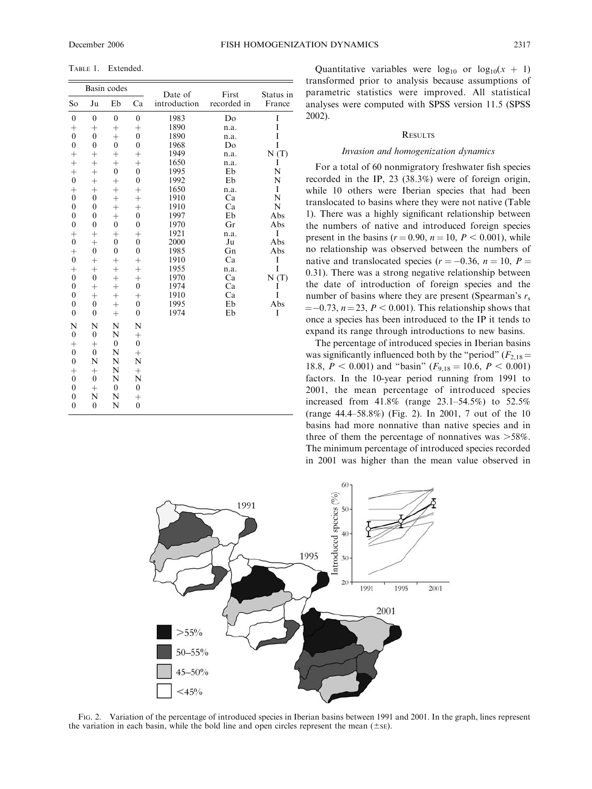TABLE 1. Extended.

| Basin codes      |                  |                  |                  | Date of      | First       | Status in |
|------------------|------------------|------------------|------------------|--------------|-------------|-----------|
| So               | Ju               | Eb               | Ca               | introduction | recorded in | France    |
| $\boldsymbol{0}$ | $\overline{0}$   | $\mathbf{0}$     | $\overline{0}$   | 1983         | Do          | I         |
|                  | $^{+}$           | $^{+}$           | $^{+}$           | 1890         | n.a.        | I         |
| $_{0}^{+}$       | $\overline{0}$   | $^{+}$           | $\overline{0}$   | 1890         | n.a.        | I         |
| $\overline{0}$   | $\mathbf{0}$     | $\mathbf{0}$     | $\overline{0}$   | 1968         | Do          | I         |
| $^{+}$           | $^{+}$           | $^{+}$           | $^{+}$           | 1949         | n.a.        | N(T)      |
| $^{+}$           | $^{+}$           | $^{+}$           | $^{+}$           | 1650         | n.a.        | I         |
| $^{+}$           | $^{+}$           | $\boldsymbol{0}$ | $\mathbf{0}$     | 1995         | Eb          | N         |
| $\overline{0}$   | $\ddot{}$        | $^{+}$           | $\mathbf{0}$     | 1992         | Eb          | N         |
| $^{+}$           | $^{+}$           | $^{+}$           | $^{+}$           | 1650         | n.a.        | I         |
| $\mathbf{0}$     | $\mathbf{0}$     | $^{+}$           | $^{+}$           | 1910         | Ca          | N         |
| $\boldsymbol{0}$ | $\mathbf{0}$     | $^{+}$           | $^{+}$           | 1910         | Ca          | N         |
| $\overline{0}$   | $\mathbf{0}$     | $\ddag$          | $\mathbf{0}$     | 1997         | Eb          | Abs       |
| $\overline{0}$   | $\mathbf{0}$     | $\boldsymbol{0}$ | $\overline{0}$   | 1970         | Gr          | Abs       |
| $^{+}$           | $^{+}$           | $^{+}$           | $^{+}$           | 1921         | n.a.        | I         |
| $\overline{0}$   | $\ddot{}$        | $\boldsymbol{0}$ | $\boldsymbol{0}$ | 2000         | Ju          | Abs       |
| $^{+}$           | $\boldsymbol{0}$ | $\boldsymbol{0}$ | $\boldsymbol{0}$ | 1985         | Gn          | Abs       |
| $\overline{0}$   | $^{+}$           | $^{+}$           | $^{+}$           | 1910         | Ca          | I         |
| $^{+}$           | $^{+}$           | $^{+}$           | $\ddot{}$        | 1955         | n.a.        | I         |
| $\overline{0}$   | $\boldsymbol{0}$ | $^{+}$           | $^{+}$           | 1970         | Ca          | N(T)      |
| $\overline{0}$   | $^{+}$           | $^{+}$           | $\overline{0}$   | 1974         | Ca          | I         |
| $\overline{0}$   | $^{+}$           | $^{+}$           | $^+$             | 1910         | Ca          | Ī         |
| $\overline{0}$   | $\overline{0}$   | $^{+}$           | $\mathbf{0}$     | 1995         | Eb          | Abs       |
| $\overline{0}$   | $\overline{0}$   | $^{+}$           | $\overline{0}$   | 1974         | Eb          | I         |
| N                | N                | N                | N                |              |             |           |
| $\boldsymbol{0}$ | $\mathbf{0}$     | N                | $^{+}$           |              |             |           |
| $^{+}$           | $^{+}$           | $\mathbf{0}$     | $\mathbf{0}$     |              |             |           |
| $\overline{0}$   | $\mathbf{0}$     | N                | $^{+}$           |              |             |           |
| $\overline{0}$   | N                | N                | N                |              |             |           |
| $^{+}$           | $^{+}$           | N                | $^{+}$           |              |             |           |
| $\overline{0}$   | $\theta$         | N                | N                |              |             |           |
| $\overline{0}$   | $^{+}$           | $\mathbf{0}$     | $\mathbf{0}$     |              |             |           |
| $\overline{0}$   | N                | N                | $^{+}$           |              |             |           |
| $\mathbf{0}$     | $\mathbf{0}$     | N                | $\mathbf{0}$     |              |             |           |

Quantitative variables were  $log_{10}$  or  $log_{10}(x + 1)$ transformed prior to analysis because assumptions of parametric statistics were improved. All statistical analyses were computed with SPSS version 11.5 (SPSS 2002).

#### **RESULTS**

#### Invasion and homogenization dynamics

For a total of 60 nonmigratory freshwater fish species recorded in the IP, 23 (38.3%) were of foreign origin, while 10 others were Iberian species that had been translocated to basins where they were not native (Table 1). There was a highly significant relationship between the numbers of native and introduced foreign species present in the basins ( $r = 0.90$ ,  $n = 10$ ,  $P < 0.001$ ), while no relationship was observed between the numbers of native and translocated species ( $r = -0.36$ ,  $n = 10$ ,  $P =$ 0.31). There was a strong negative relationship between the date of introduction of foreign species and the number of basins where they are present (Spearman's  $r_s$ )  $=$  -0.73,  $n = 23$ ,  $P < 0.001$ ). This relationship shows that once a species has been introduced to the IP it tends to expand its range through introductions to new basins.

The percentage of introduced species in Iberian basins was significantly influenced both by the "period" ( $F_{2,18}$  = 18.8,  $P < 0.001$ ) and "basin" ( $F_{9,18} = 10.6$ ,  $P < 0.001$ ) factors. In the 10-year period running from 1991 to 2001, the mean percentage of introduced species increased from 41.8% (range 23.1–54.5%) to 52.5% (range 44.4–58.8%) (Fig. 2). In 2001, 7 out of the 10 basins had more nonnative than native species and in three of them the percentage of nonnatives was  $>58\%$ . The minimum percentage of introduced species recorded in 2001 was higher than the mean value observed in



FIG. 2. Variation of the percentage of introduced species in Iberian basins between 1991 and 2001. In the graph, lines represent the variation in each basin, while the bold line and open circles represent the mean  $(\pm s)$ .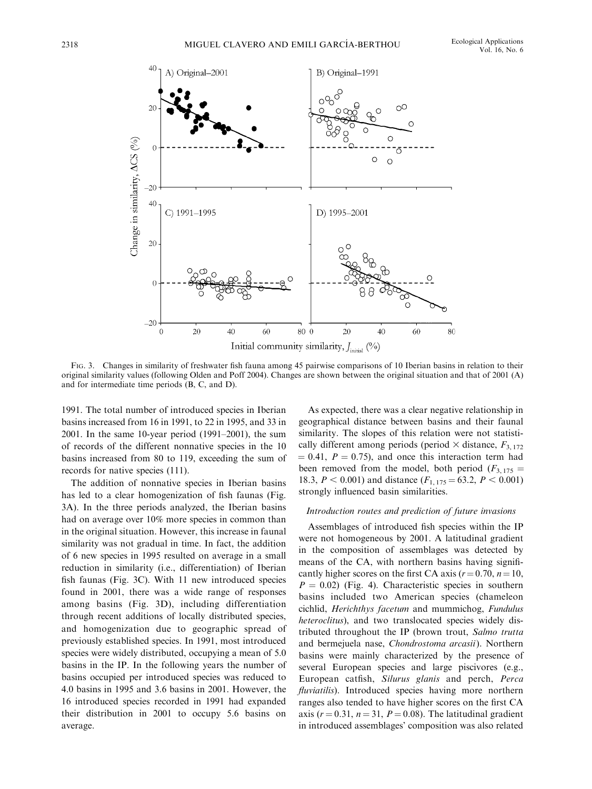

FIG. 3. Changes in similarity of freshwater fish fauna among 45 pairwise comparisons of 10 Iberian basins in relation to their original similarity values (following Olden and Poff 2004). Changes are shown between the original situation and that of 2001 (A) and for intermediate time periods (B, C, and D).

1991. The total number of introduced species in Iberian basins increased from 16 in 1991, to 22 in 1995, and 33 in 2001. In the same 10-year period (1991–2001), the sum of records of the different nonnative species in the 10 basins increased from 80 to 119, exceeding the sum of records for native species (111).

The addition of nonnative species in Iberian basins has led to a clear homogenization of fish faunas (Fig. 3A). In the three periods analyzed, the Iberian basins had on average over 10% more species in common than in the original situation. However, this increase in faunal similarity was not gradual in time. In fact, the addition of 6 new species in 1995 resulted on average in a small reduction in similarity (i.e., differentiation) of Iberian fish faunas (Fig. 3C). With 11 new introduced species found in 2001, there was a wide range of responses among basins (Fig. 3D), including differentiation through recent additions of locally distributed species, and homogenization due to geographic spread of previously established species. In 1991, most introduced species were widely distributed, occupying a mean of 5.0 basins in the IP. In the following years the number of basins occupied per introduced species was reduced to 4.0 basins in 1995 and 3.6 basins in 2001. However, the 16 introduced species recorded in 1991 had expanded their distribution in 2001 to occupy 5.6 basins on average.

As expected, there was a clear negative relationship in geographical distance between basins and their faunal similarity. The slopes of this relation were not statistically different among periods (period  $\times$  distance,  $F_{3, 172}$ )  $= 0.41, P = 0.75$ , and once this interaction term had been removed from the model, both period ( $F_{3,175}$  = 18.3,  $P < 0.001$ ) and distance ( $F_{1, 175} = 63.2, P < 0.001$ ) strongly influenced basin similarities.

#### Introduction routes and prediction of future invasions

Assemblages of introduced fish species within the IP were not homogeneous by 2001. A latitudinal gradient in the composition of assemblages was detected by means of the CA, with northern basins having significantly higher scores on the first CA axis ( $r = 0.70$ ,  $n = 10$ ,  $P = 0.02$ ) (Fig. 4). Characteristic species in southern basins included two American species (chameleon cichlid, Herichthys facetum and mummichog, Fundulus heteroclitus), and two translocated species widely distributed throughout the IP (brown trout, Salmo trutta and bermejuela nase, Chondrostoma arcasii). Northern basins were mainly characterized by the presence of several European species and large piscivores (e.g., European catfish, Silurus glanis and perch, Perca fluviatilis). Introduced species having more northern ranges also tended to have higher scores on the first CA axis ( $r = 0.31$ ,  $n = 31$ ,  $P = 0.08$ ). The latitudinal gradient in introduced assemblages' composition was also related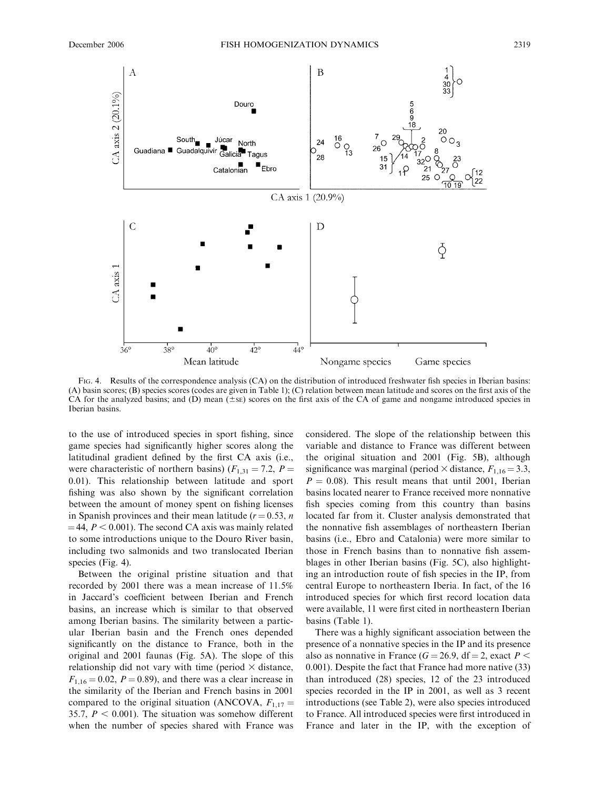

FIG. 4. Results of the correspondence analysis (CA) on the distribution of introduced freshwater fish species in Iberian basins: (A) basin scores; (B) species scores (codes are given in Table 1); (C) relation between mean latitude and scores on the first axis of the CA for the analyzed basins; and (D) mean  $(\pm s_{\rm E})$  scores on the first axis of the CA of game and nongame introduced species in Iberian basins.

to the use of introduced species in sport fishing, since game species had significantly higher scores along the latitudinal gradient defined by the first CA axis (i.e., were characteristic of northern basins) ( $F_{1,31} = 7.2$ ,  $P =$ 0.01). This relationship between latitude and sport fishing was also shown by the significant correlation between the amount of money spent on fishing licenses in Spanish provinces and their mean latitude ( $r = 0.53$ , n  $=$  44,  $P < 0.001$ ). The second CA axis was mainly related to some introductions unique to the Douro River basin, including two salmonids and two translocated Iberian species (Fig. 4).

Between the original pristine situation and that recorded by 2001 there was a mean increase of 11.5% in Jaccard's coefficient between Iberian and French basins, an increase which is similar to that observed among Iberian basins. The similarity between a particular Iberian basin and the French ones depended significantly on the distance to France, both in the original and 2001 faunas (Fig. 5A). The slope of this relationship did not vary with time (period  $\times$  distance,  $F_{1,16} = 0.02$ ,  $P = 0.89$ ), and there was a clear increase in the similarity of the Iberian and French basins in 2001 compared to the original situation (ANCOVA,  $F_{1,17} =$ 35.7,  $P < 0.001$ ). The situation was somehow different when the number of species shared with France was

considered. The slope of the relationship between this variable and distance to France was different between the original situation and 2001 (Fig. 5B), although significance was marginal (period  $\times$  distance,  $F_{1,16} = 3.3$ ,  $P = 0.08$ ). This result means that until 2001, Iberian basins located nearer to France received more nonnative fish species coming from this country than basins located far from it. Cluster analysis demonstrated that the nonnative fish assemblages of northeastern Iberian basins (i.e., Ebro and Catalonia) were more similar to those in French basins than to nonnative fish assemblages in other Iberian basins (Fig. 5C), also highlighting an introduction route of fish species in the IP, from central Europe to northeastern Iberia. In fact, of the 16 introduced species for which first record location data were available, 11 were first cited in northeastern Iberian basins (Table 1).

There was a highly significant association between the presence of a nonnative species in the IP and its presence also as nonnative in France ( $G = 26.9$ , df = 2, exact  $P <$ 0.001). Despite the fact that France had more native (33) than introduced (28) species, 12 of the 23 introduced species recorded in the IP in 2001, as well as 3 recent introductions (see Table 2), were also species introduced to France. All introduced species were first introduced in France and later in the IP, with the exception of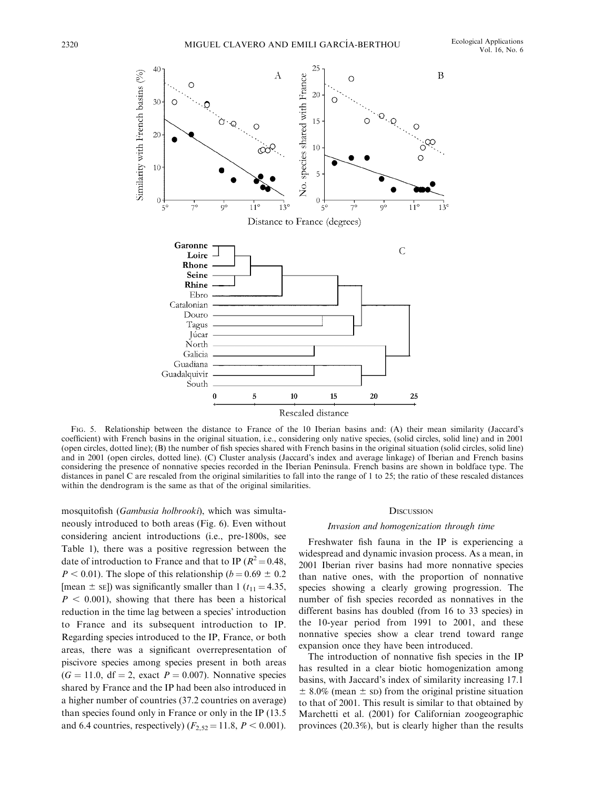

FIG. 5. Relationship between the distance to France of the 10 Iberian basins and: (A) their mean similarity (Jaccard's coefficient) with French basins in the original situation, i.e., considering only native species, (solid circles, solid line) and in 2001 (open circles, dotted line); (B) the number of fish species shared with French basins in the original situation (solid circles, solid line) and in 2001 (open circles, dotted line). (C) Cluster analysis (Jaccard's index and average linkage) of Iberian and French basins considering the presence of nonnative species recorded in the Iberian Peninsula. French basins are shown in boldface type. The distances in panel C are rescaled from the original similarities to fall into the range of 1 to 25; the ratio of these rescaled distances within the dendrogram is the same as that of the original similarities.

mosquitofish (Gambusia holbrooki), which was simultaneously introduced to both areas (Fig. 6). Even without considering ancient introductions (i.e., pre-1800s, see Table 1), there was a positive regression between the date of introduction to France and that to IP ( $R^2 = 0.48$ ,  $P < 0.01$ ). The slope of this relationship ( $b = 0.69 \pm 0.2$ [mean  $\pm$  se]) was significantly smaller than 1 ( $t_{11} = 4.35$ ,  $P < 0.001$ ), showing that there has been a historical reduction in the time lag between a species' introduction to France and its subsequent introduction to IP. Regarding species introduced to the IP, France, or both areas, there was a significant overrepresentation of piscivore species among species present in both areas  $(G = 11.0, df = 2, exact P = 0.007)$ . Nonnative species shared by France and the IP had been also introduced in a higher number of countries (37.2 countries on average) than species found only in France or only in the IP (13.5 and 6.4 countries, respectively) ( $F_{2,52} = 11.8, P < 0.001$ ).

#### **DISCUSSION**

#### Invasion and homogenization through time

Freshwater fish fauna in the IP is experiencing a widespread and dynamic invasion process. As a mean, in 2001 Iberian river basins had more nonnative species than native ones, with the proportion of nonnative species showing a clearly growing progression. The number of fish species recorded as nonnatives in the different basins has doubled (from 16 to 33 species) in the 10-year period from 1991 to 2001, and these nonnative species show a clear trend toward range expansion once they have been introduced.

The introduction of nonnative fish species in the IP has resulted in a clear biotic homogenization among basins, with Jaccard's index of similarity increasing 17.1  $\pm$  8.0% (mean  $\pm$  sp) from the original pristine situation to that of 2001. This result is similar to that obtained by Marchetti et al. (2001) for Californian zoogeographic provinces (20.3%), but is clearly higher than the results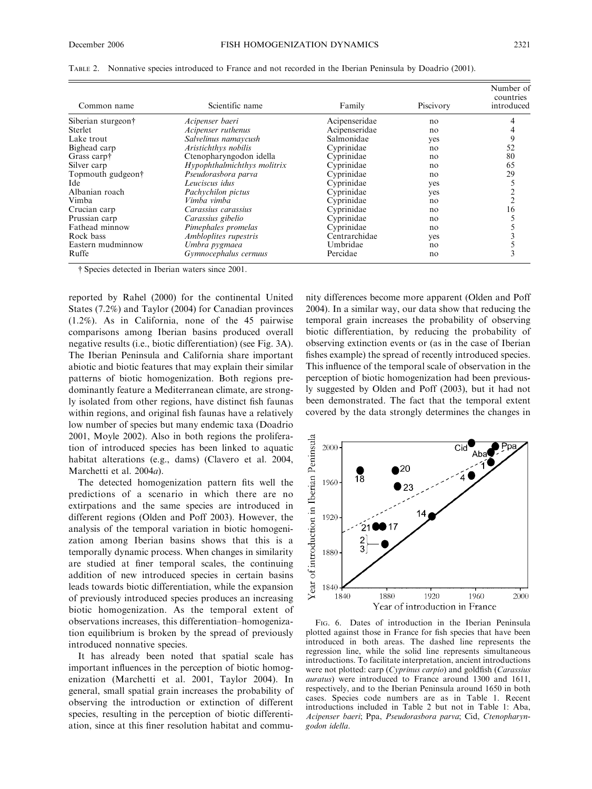| Common name        | Scientific name             | Family        | Piscivory | Number of<br>countries<br>introduced |
|--------------------|-----------------------------|---------------|-----------|--------------------------------------|
| Siberian sturgeon† | Acipenser baeri             | Acipenseridae | no        |                                      |
| <b>Sterlet</b>     | Acipenser ruthenus          | Acipenseridae | no        |                                      |
| Lake trout         | Salvelinus namaycush        | Salmonidae    | yes       |                                      |
| Bighead carp       | Aristichthys nobilis        | Cyprinidae    | no        | 52                                   |
| Grass carp†        | Ctenopharyngodon idella     | Cyprinidae    | no        | 80                                   |
| Silver carp        | Hypophthalmichthys molitrix | Cyprinidae    | no        | 65                                   |
| Topmouth gudgeon†  | Pseudorasbora parva         | Cyprinidae    | no        | 29                                   |
| Ide                | Leuciscus idus              | Cyprinidae    | yes       |                                      |
| Albanian roach     | Pachychilon pictus          | Cyprinidae    | yes       |                                      |
| Vimba              | Vimba vimba                 | Cyprinidae    | no        |                                      |
| Crucian carp       | Carassius carassius         | Cyprinidae    | no        | 16                                   |
| Prussian carp      | Carassius gibelio           | Cyprinidae    | no        |                                      |
| Fathead minnow     | Pimephales promelas         | Cyprinidae    | no        |                                      |
| Rock bass          | Ambloplites rupestris       | Centrarchidae | yes       |                                      |
| Eastern mudminnow  | Umbra pygmaea               | Umbridae      | no        |                                      |
| Ruffe              | Gymnocephalus cernuus       | Percidae      | no        |                                      |

TABLE 2. Nonnative species introduced to France and not recorded in the Iberian Peninsula by Doadrio (2001).

Species detected in Iberian waters since 2001.

reported by Rahel (2000) for the continental United States (7.2%) and Taylor (2004) for Canadian provinces (1.2%). As in California, none of the 45 pairwise comparisons among Iberian basins produced overall negative results (i.e., biotic differentiation) (see Fig. 3A). The Iberian Peninsula and California share important abiotic and biotic features that may explain their similar patterns of biotic homogenization. Both regions predominantly feature a Mediterranean climate, are strongly isolated from other regions, have distinct fish faunas within regions, and original fish faunas have a relatively low number of species but many endemic taxa (Doadrio 2001, Moyle 2002). Also in both regions the proliferation of introduced species has been linked to aquatic habitat alterations (e.g., dams) (Clavero et al. 2004, Marchetti et al. 2004a).

The detected homogenization pattern fits well the predictions of a scenario in which there are no extirpations and the same species are introduced in different regions (Olden and Poff 2003). However, the analysis of the temporal variation in biotic homogenization among Iberian basins shows that this is a temporally dynamic process. When changes in similarity are studied at finer temporal scales, the continuing addition of new introduced species in certain basins leads towards biotic differentiation, while the expansion of previously introduced species produces an increasing biotic homogenization. As the temporal extent of observations increases, this differentiation–homogenization equilibrium is broken by the spread of previously introduced nonnative species.

It has already been noted that spatial scale has important influences in the perception of biotic homogenization (Marchetti et al. 2001, Taylor 2004). In general, small spatial grain increases the probability of observing the introduction or extinction of different species, resulting in the perception of biotic differentiation, since at this finer resolution habitat and community differences become more apparent (Olden and Poff 2004). In a similar way, our data show that reducing the temporal grain increases the probability of observing biotic differentiation, by reducing the probability of observing extinction events or (as in the case of Iberian fishes example) the spread of recently introduced species. This influence of the temporal scale of observation in the perception of biotic homogenization had been previously suggested by Olden and Poff (2003), but it had not been demonstrated. The fact that the temporal extent covered by the data strongly determines the changes in



FIG. 6. Dates of introduction in the Iberian Peninsula plotted against those in France for fish species that have been introduced in both areas. The dashed line represents the regression line, while the solid line represents simultaneous introductions. To facilitate interpretation, ancient introductions were not plotted: carp (Cyprinus carpio) and goldfish (Carassius auratus) were introduced to France around 1300 and 1611, respectively, and to the Iberian Peninsula around 1650 in both cases. Species code numbers are as in Table 1. Recent introductions included in Table 2 but not in Table 1: Aba, Acipenser baeri; Ppa, Pseudorasbora parva; Cid, Ctenopharyngodon idella.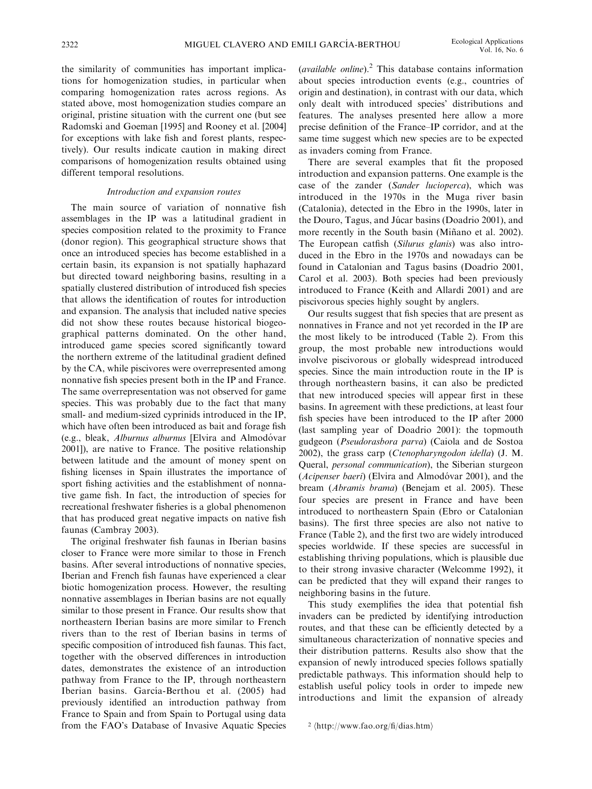the similarity of communities has important implications for homogenization studies, in particular when comparing homogenization rates across regions. As stated above, most homogenization studies compare an original, pristine situation with the current one (but see Radomski and Goeman [1995] and Rooney et al. [2004] for exceptions with lake fish and forest plants, respectively). Our results indicate caution in making direct comparisons of homogenization results obtained using different temporal resolutions.

### Introduction and expansion routes

The main source of variation of nonnative fish assemblages in the IP was a latitudinal gradient in species composition related to the proximity to France (donor region). This geographical structure shows that once an introduced species has become established in a certain basin, its expansion is not spatially haphazard but directed toward neighboring basins, resulting in a spatially clustered distribution of introduced fish species that allows the identification of routes for introduction and expansion. The analysis that included native species did not show these routes because historical biogeographical patterns dominated. On the other hand, introduced game species scored significantly toward the northern extreme of the latitudinal gradient defined by the CA, while piscivores were overrepresented among nonnative fish species present both in the IP and France. The same overrepresentation was not observed for game species. This was probably due to the fact that many small- and medium-sized cyprinids introduced in the IP, which have often been introduced as bait and forage fish (e.g., bleak, Alburnus alburnus [Elvira and Almodóvar 2001]), are native to France. The positive relationship between latitude and the amount of money spent on fishing licenses in Spain illustrates the importance of sport fishing activities and the establishment of nonnative game fish. In fact, the introduction of species for recreational freshwater fisheries is a global phenomenon that has produced great negative impacts on native fish faunas (Cambray 2003).

The original freshwater fish faunas in Iberian basins closer to France were more similar to those in French basins. After several introductions of nonnative species, Iberian and French fish faunas have experienced a clear biotic homogenization process. However, the resulting nonnative assemblages in Iberian basins are not equally similar to those present in France. Our results show that northeastern Iberian basins are more similar to French rivers than to the rest of Iberian basins in terms of specific composition of introduced fish faunas. This fact, together with the observed differences in introduction dates, demonstrates the existence of an introduction pathway from France to the IP, through northeastern Iberian basins. García-Berthou et al. (2005) had previously identified an introduction pathway from France to Spain and from Spain to Portugal using data from the FAO's Database of Invasive Aquatic Species (available online). $^{2}$  This database contains information about species introduction events (e.g., countries of origin and destination), in contrast with our data, which only dealt with introduced species' distributions and features. The analyses presented here allow a more precise definition of the France–IP corridor, and at the same time suggest which new species are to be expected as invaders coming from France.

There are several examples that fit the proposed introduction and expansion patterns. One example is the case of the zander (Sander lucioperca), which was introduced in the 1970s in the Muga river basin (Catalonia), detected in the Ebro in the 1990s, later in the Douro, Tagus, and Júcar basins (Doadrio 2001), and more recently in the South basin (Miñano et al. 2002). The European catfish (Silurus glanis) was also introduced in the Ebro in the 1970s and nowadays can be found in Catalonian and Tagus basins (Doadrio 2001, Carol et al. 2003). Both species had been previously introduced to France (Keith and Allardi 2001) and are piscivorous species highly sought by anglers.

Our results suggest that fish species that are present as nonnatives in France and not yet recorded in the IP are the most likely to be introduced (Table 2). From this group, the most probable new introductions would involve piscivorous or globally widespread introduced species. Since the main introduction route in the IP is through northeastern basins, it can also be predicted that new introduced species will appear first in these basins. In agreement with these predictions, at least four fish species have been introduced to the IP after 2000 (last sampling year of Doadrio 2001): the topmouth gudgeon (Pseudorasbora parva) (Caiola and de Sostoa 2002), the grass carp (Ctenopharyngodon idella) (J. M. Queral, personal communication), the Siberian sturgeon (Acipenser baeri) (Elvira and Almodóvar 2001), and the bream (Abramis brama) (Benejam et al. 2005). These four species are present in France and have been introduced to northeastern Spain (Ebro or Catalonian basins). The first three species are also not native to France (Table 2), and the first two are widely introduced species worldwide. If these species are successful in establishing thriving populations, which is plausible due to their strong invasive character (Welcomme 1992), it can be predicted that they will expand their ranges to neighboring basins in the future.

This study exemplifies the idea that potential fish invaders can be predicted by identifying introduction routes, and that these can be efficiently detected by a simultaneous characterization of nonnative species and their distribution patterns. Results also show that the expansion of newly introduced species follows spatially predictable pathways. This information should help to establish useful policy tools in order to impede new introductions and limit the expansion of already

 $2 \langle \text{http://www.fao.org/fi/dias.htm} \rangle$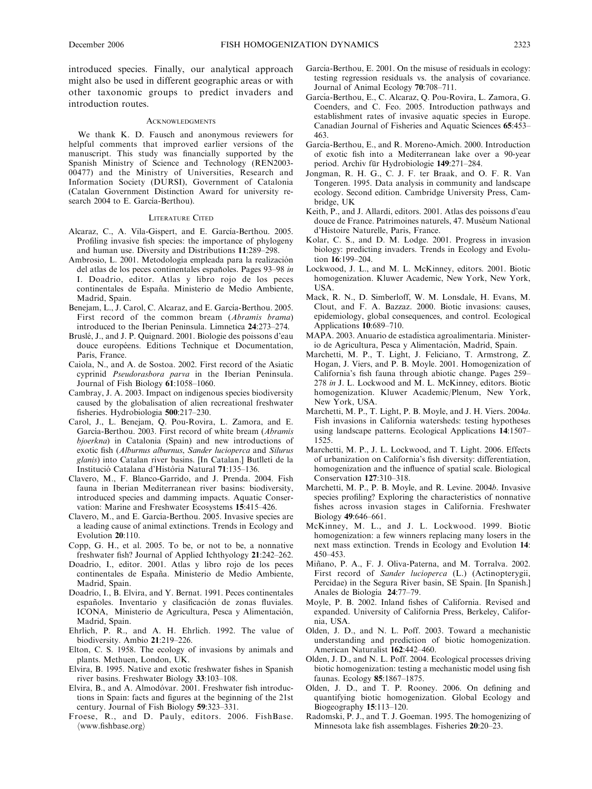introduced species. Finally, our analytical approach might also be used in different geographic areas or with other taxonomic groups to predict invaders and introduction routes.

#### **ACKNOWLEDGMENTS**

We thank K. D. Fausch and anonymous reviewers for helpful comments that improved earlier versions of the manuscript. This study was financially supported by the Spanish Ministry of Science and Technology (REN2003- 00477) and the Ministry of Universities, Research and Information Society (DURSI), Government of Catalonia (Catalan Government Distinction Award for university research 2004 to E. García-Berthou).

#### LITERATURE CITED

- Alcaraz, C., A. Vila-Gispert, and E. García-Berthou. 2005. Profiling invasive fish species: the importance of phylogeny and human use. Diversity and Distributions 11:289–298.
- Ambrosio, L. 2001. Metodología empleada para la realización del atlas de los peces continentales españoles. Pages 93–98 in I. Doadrio, editor. Atlas y libro rojo de los peces continentales de España. Ministerio de Medio Ambiente, Madrid, Spain.
- Benejam, L., J. Carol, C. Alcaraz, and E. García-Berthou. 2005. First record of the common bream (Abramis brama) introduced to the Iberian Peninsula. Limnetica 24:273–274.
- Bruslé, J., and J. P. Quignard. 2001. Biologie des poissons d'eau douce européens. Editions Technique et Documentation, Paris, France.
- Caiola, N., and A. de Sostoa. 2002. First record of the Asiatic cyprinid Pseudorasbora parva in the Iberian Peninsula. Journal of Fish Biology 61:1058–1060.
- Cambray, J. A. 2003. Impact on indigenous species biodiversity caused by the globalisation of alien recreational freshwater fisheries. Hydrobiologia 500:217–230.
- Carol, J., L. Benejam, Q. Pou-Rovira, L. Zamora, and E. García-Berthou. 2003. First record of white bream (Abramis bjoerkna) in Catalonia (Spain) and new introductions of exotic fish (Alburnus alburnus, Sander lucioperca and Silurus glanis) into Catalan river basins. [In Catalan.] Butlletí de la Institució Catalana d'Història Natural 71:135–136.
- Clavero, M., F. Blanco-Garrido, and J. Prenda. 2004. Fish fauna in Iberian Mediterranean river basins: biodiversity, introduced species and damming impacts. Aquatic Conservation: Marine and Freshwater Ecosystems 15:415–426.
- Clavero, M., and E. García-Berthou. 2005. Invasive species are a leading cause of animal extinctions. Trends in Ecology and Evolution 20:110.
- Copp, G. H., et al. 2005. To be, or not to be, a nonnative freshwater fish? Journal of Applied Ichthyology 21:242–262.
- Doadrio, I., editor. 2001. Atlas y libro rojo de los peces continentales de España. Ministerio de Medio Ambiente, Madrid, Spain.
- Doadrio, I., B. Elvira, and Y. Bernat. 1991. Peces continentales españoles. Inventario y clasificación de zonas fluviales. ICONA, Ministerio de Agricultura, Pesca y Alimentación, Madrid, Spain.
- Ehrlich, P. R., and A. H. Ehrlich. 1992. The value of biodiversity. Ambio 21:219–226.
- Elton, C. S. 1958. The ecology of invasions by animals and plants. Methuen, London, UK.
- Elvira, B. 1995. Native and exotic freshwater fishes in Spanish river basins. Freshwater Biology 33:103–108.
- Elvira, B., and A. Almodóvar. 2001. Freshwater fish introductions in Spain: facts and figures at the beginning of the 21st century. Journal of Fish Biology 59:323–331.
- Froese, R., and D. Pauly, editors. 2006. FishBase.  $\langle$ www.fishbase.org $\rangle$
- García-Berthou, E. 2001. On the misuse of residuals in ecology: testing regression residuals vs. the analysis of covariance. Journal of Animal Ecology 70:708–711.
- García-Berthou, E., C. Alcaraz, Q. Pou-Rovira, L. Zamora, G. Coenders, and C. Feo. 2005. Introduction pathways and establishment rates of invasive aquatic species in Europe. Canadian Journal of Fisheries and Aquatic Sciences 65:453– 463.
- García-Berthou, E., and R. Moreno-Amich. 2000. Introduction of exotic fish into a Mediterranean lake over a 90-year period. Archiv für Hydrobiologie 149:271-284.
- Jongman, R. H. G., C. J. F. ter Braak, and O. F. R. Van Tongeren. 1995. Data analysis in community and landscape ecology. Second edition. Cambridge University Press, Cambridge, UK
- Keith, P., and J. Allardi, editors. 2001. Atlas des poissons d'eau douce de France. Patrimoines naturels, 47. Muséum National d'Histoire Naturelle, Paris, France.
- Kolar, C. S., and D. M. Lodge. 2001. Progress in invasion biology: predicting invaders. Trends in Ecology and Evolution 16:199–204.
- Lockwood, J. L., and M. L. McKinney, editors. 2001. Biotic homogenization. Kluwer Academic, New York, New York, USA.
- Mack, R. N., D. Simberloff, W. M. Lonsdale, H. Evans, M. Clout, and F. A. Bazzaz. 2000. Biotic invasions: causes, epidemiology, global consequences, and control. Ecological Applications 10:689–710.
- MAPA. 2003. Anuario de estadística agroalimentaria. Ministerio de Agricultura, Pesca y Alimentación, Madrid, Spain.
- Marchetti, M. P., T. Light, J. Feliciano, T. Armstrong, Z. Hogan, J. Viers, and P. B. Moyle. 2001. Homogenization of California's fish fauna through abiotic change. Pages 259– 278 in J. L. Lockwood and M. L. McKinney, editors. Biotic homogenization. Kluwer Academic/Plenum, New York, New York, USA.
- Marchetti, M. P., T. Light, P. B. Moyle, and J. H. Viers. 2004a. Fish invasions in California watersheds: testing hypotheses using landscape patterns. Ecological Applications 14:1507– 1525.
- Marchetti, M. P., J. L. Lockwood, and T. Light. 2006. Effects of urbanization on California's fish diversity: differentiation, homogenization and the influence of spatial scale. Biological Conservation 127:310–318.
- Marchetti, M. P., P. B. Moyle, and R. Levine. 2004b. Invasive species profiling? Exploring the characteristics of nonnative fishes across invasion stages in California. Freshwater Biology 49:646–661.
- McKinney, M. L., and J. L. Lockwood. 1999. Biotic homogenization: a few winners replacing many losers in the next mass extinction. Trends in Ecology and Evolution 14: 450–453.
- Miñano, P. A., F. J. Oliva-Paterna, and M. Torralva. 2002. First record of Sander lucioperca (L.) (Actinopterygii, Percidae) in the Segura River basin, SE Spain. [In Spanish.] Anales de Biología 24:77–79.
- Moyle, P. B. 2002. Inland fishes of California. Revised and expanded. University of California Press, Berkeley, California, USA.
- Olden, J. D., and N. L. Poff. 2003. Toward a mechanistic understanding and prediction of biotic homogenization. American Naturalist 162:442–460.
- Olden, J. D., and N. L. Poff. 2004. Ecological processes driving biotic homogenization: testing a mechanistic model using fish faunas. Ecology 85:1867–1875.
- Olden, J. D., and T. P. Rooney. 2006. On defining and quantifying biotic homogenization. Global Ecology and Biogeography 15:113–120.
- Radomski, P. J., and T. J. Goeman. 1995. The homogenizing of Minnesota lake fish assemblages. Fisheries 20:20–23.